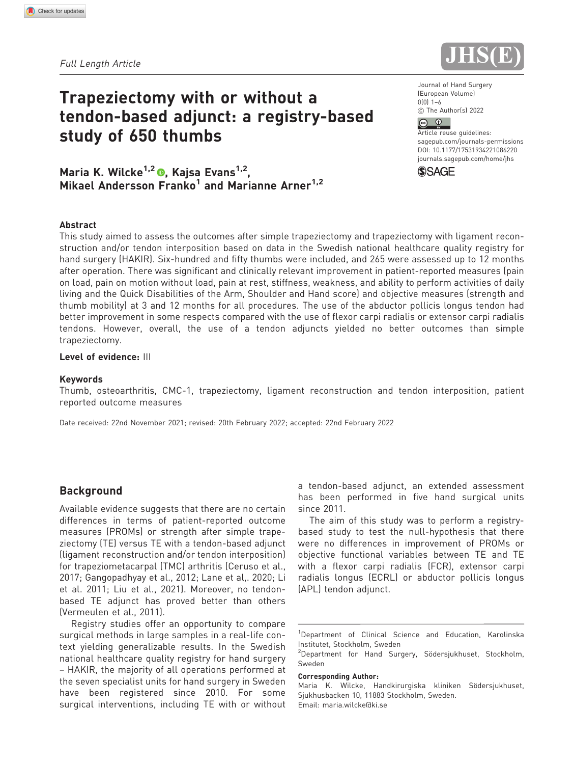Full Length Article

# Trapeziectomy with or without a tendon-based adjunct: a registry-based study of 650 thumbs

Journal of Hand Surgery (European Volume)  $0(0)$  1–6  $©$  The Author(s) 2022

# $\circ$   $\circ$

Article reuse guidelines: [sagepub.com/journals-permissions](https://us.sagepub.com/en-us/journals-permissions) DOI: [10.1177/17531934221086220](https://doi.org/10.1177/17531934221086220) <journals.sagepub.com/home/jhs>



Maria K. Wilcke<sup>1,2</sup>  $\bullet$ , Kajsa Evans<sup>1,2</sup>, Mikael Andersson Franko<sup>1</sup> and Marianne Arner<sup>1,2</sup>

#### Abstract

This study aimed to assess the outcomes after simple trapeziectomy and trapeziectomy with ligament reconstruction and/or tendon interposition based on data in the Swedish national healthcare quality registry for hand surgery (HAKIR). Six-hundred and fifty thumbs were included, and 265 were assessed up to 12 months after operation. There was significant and clinically relevant improvement in patient-reported measures (pain on load, pain on motion without load, pain at rest, stiffness, weakness, and ability to perform activities of daily living and the Quick Disabilities of the Arm, Shoulder and Hand score) and objective measures (strength and thumb mobility) at 3 and 12 months for all procedures. The use of the abductor pollicis longus tendon had better improvement in some respects compared with the use of flexor carpi radialis or extensor carpi radialis tendons. However, overall, the use of a tendon adjuncts yielded no better outcomes than simple trapeziectomy.

### Level of evidence: III

#### Keywords

Thumb, osteoarthritis, CMC-1, trapeziectomy, ligament reconstruction and tendon interposition, patient reported outcome measures

Date received: 22nd November 2021; revised: 20th February 2022; accepted: 22nd February 2022

# Background

Available evidence suggests that there are no certain differences in terms of patient-reported outcome measures (PROMs) or strength after simple trapeziectomy (TE) versus TE with a tendon-based adjunct (ligament reconstruction and/or tendon interposition) for trapeziometacarpal (TMC) arthritis (Ceruso et al., 2017; Gangopadhyay et al., 2012; Lane et al,. 2020; Li et al. 2011; Liu et al., 2021). Moreover, no tendonbased TE adjunct has proved better than others (Vermeulen et al., 2011).

Registry studies offer an opportunity to compare surgical methods in large samples in a real-life context yielding generalizable results. In the Swedish national healthcare quality registry for hand surgery – HAKIR, the majority of all operations performed at the seven specialist units for hand surgery in Sweden have been registered since 2010. For some surgical interventions, including TE with or without

a tendon-based adjunct, an extended assessment has been performed in five hand surgical units since 2011.

The aim of this study was to perform a registrybased study to test the null-hypothesis that there were no differences in improvement of PROMs or objective functional variables between TE and TE with a flexor carpi radialis (FCR), extensor carpi radialis longus (ECRL) or abductor pollicis longus (APL) tendon adjunct.

<sup>1</sup>Department of Clinical Science and Education, Karolinska Institutet, Stockholm, Sweden

#### Corresponding Author:

Maria K. Wilcke, Handkirurgiska kliniken Södersjukhuset, Sjukhusbacken 10, 11883 Stockholm, Sweden. Email: maria.wilcke@ki.se

<sup>&</sup>lt;sup>2</sup>Department for Hand Surgery, Södersjukhuset, Stockholm, Sweden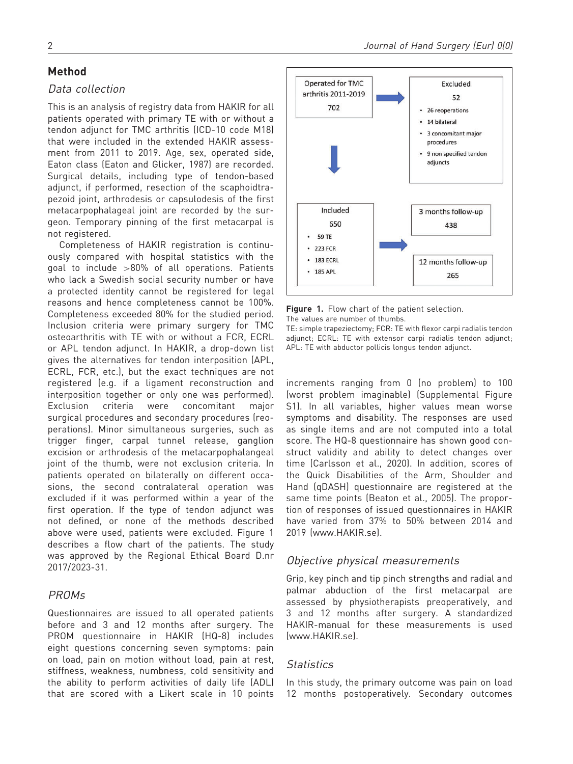# Method

# Data collection

This is an analysis of registry data from HAKIR for all patients operated with primary TE with or without a tendon adjunct for TMC arthritis (ICD-10 code M18) that were included in the extended HAKIR assessment from 2011 to 2019. Age, sex, operated side, Eaton class (Eaton and Glicker, 1987) are recorded. Surgical details, including type of tendon-based adjunct, if performed, resection of the scaphoidtrapezoid joint, arthrodesis or capsulodesis of the first metacarpophalageal joint are recorded by the surgeon. Temporary pinning of the first metacarpal is not registered.

Completeness of HAKIR registration is continuously compared with hospital statistics with the goal to include >80% of all operations. Patients who lack a Swedish social security number or have a protected identity cannot be registered for legal reasons and hence completeness cannot be 100%. Completeness exceeded 80% for the studied period. Inclusion criteria were primary surgery for TMC osteoarthritis with TE with or without a FCR, ECRL or APL tendon adjunct. In HAKIR, a drop-down list gives the alternatives for tendon interposition (APL, ECRL, FCR, etc.), but the exact techniques are not registered (e.g. if a ligament reconstruction and interposition together or only one was performed). Exclusion criteria were concomitant major surgical procedures and secondary procedures (reoperations). Minor simultaneous surgeries, such as trigger finger, carpal tunnel release, ganglion excision or arthrodesis of the metacarpophalangeal joint of the thumb, were not exclusion criteria. In patients operated on bilaterally on different occasions, the second contralateral operation was excluded if it was performed within a year of the first operation. If the type of tendon adjunct was not defined, or none of the methods described above were used, patients were excluded. Figure 1 describes a flow chart of the patients. The study was approved by the Regional Ethical Board D.nr 2017/2023-31.

# PROMs

Questionnaires are issued to all operated patients before and 3 and 12 months after surgery. The PROM questionnaire in HAKIR (HQ-8) includes eight questions concerning seven symptoms: pain on load, pain on motion without load, pain at rest, stiffness, weakness, numbness, cold sensitivity and the ability to perform activities of daily life (ADL) that are scored with a Likert scale in 10 points



Figure 1. Flow chart of the patient selection.

The values are number of thumbs.

TE: simple trapeziectomy; FCR: TE with flexor carpi radialis tendon adjunct; ECRL: TE with extensor carpi radialis tendon adjunct; APL: TE with abductor pollicis longus tendon adjunct.

increments ranging from 0 (no problem) to 100 (worst problem imaginable) (Supplemental Figure S1). In all variables, higher values mean worse symptoms and disability. The responses are used as single items and are not computed into a total score. The HQ-8 questionnaire has shown good construct validity and ability to detect changes over time (Carlsson et al., 2020). In addition, scores of the Quick Disabilities of the Arm, Shoulder and Hand (qDASH) questionnaire are registered at the same time points (Beaton et al., 2005). The proportion of responses of issued questionnaires in HAKIR have varied from 37% to 50% between 2014 and 2019 (www.HAKIR.se).

# Objective physical measurements

Grip, key pinch and tip pinch strengths and radial and palmar abduction of the first metacarpal are assessed by physiotherapists preoperatively, and 3 and 12 months after surgery. A standardized HAKIR-manual for these measurements is used (www.HAKIR.se).

# **Statistics**

In this study, the primary outcome was pain on load 12 months postoperatively. Secondary outcomes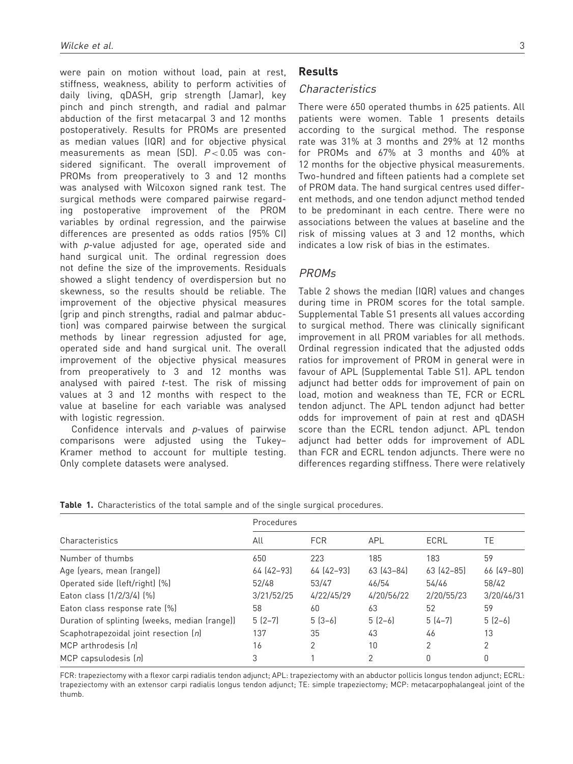were pain on motion without load, pain at rest, stiffness, weakness, ability to perform activities of daily living, qDASH, grip strength (Jamar), key pinch and pinch strength, and radial and palmar abduction of the first metacarpal 3 and 12 months postoperatively. Results for PROMs are presented as median values (IQR) and for objective physical measurements as mean (SD).  $P < 0.05$  was considered significant. The overall improvement of PROMs from preoperatively to 3 and 12 months was analysed with Wilcoxon signed rank test. The surgical methods were compared pairwise regarding postoperative improvement of the PROM variables by ordinal regression, and the pairwise differences are presented as odds ratios (95% CI) with *p*-value adjusted for age, operated side and hand surgical unit. The ordinal regression does not define the size of the improvements. Residuals showed a slight tendency of overdispersion but no skewness, so the results should be reliable. The improvement of the objective physical measures (grip and pinch strengths, radial and palmar abduction) was compared pairwise between the surgical methods by linear regression adjusted for age, operated side and hand surgical unit. The overall improvement of the objective physical measures from preoperatively to 3 and 12 months was analysed with paired  $t$ -test. The risk of missing values at 3 and 12 months with respect to the value at baseline for each variable was analysed with logistic regression.

Confidence intervals and p-values of pairwise comparisons were adjusted using the Tukey– Kramer method to account for multiple testing. Only complete datasets were analysed.

# Results

# Characteristics

There were 650 operated thumbs in 625 patients. All patients were women. Table 1 presents details according to the surgical method. The response rate was 31% at 3 months and 29% at 12 months for PROMs and 67% at 3 months and 40% at 12 months for the objective physical measurements. Two-hundred and fifteen patients had a complete set of PROM data. The hand surgical centres used different methods, and one tendon adjunct method tended to be predominant in each centre. There were no associations between the values at baseline and the risk of missing values at 3 and 12 months, which indicates a low risk of bias in the estimates.

# PROMs

Table 2 shows the median (IQR) values and changes during time in PROM scores for the total sample. Supplemental Table S1 presents all values according to surgical method. There was clinically significant improvement in all PROM variables for all methods. Ordinal regression indicated that the adjusted odds ratios for improvement of PROM in general were in favour of APL (Supplemental Table S1). APL tendon adjunct had better odds for improvement of pain on load, motion and weakness than TE, FCR or ECRL tendon adjunct. The APL tendon adjunct had better odds for improvement of pain at rest and qDASH score than the ECRL tendon adjunct. APL tendon adjunct had better odds for improvement of ADL than FCR and ECRL tendon adjuncts. There were no differences regarding stiffness. There were relatively

|                                               | Procedures |            |            |             |                |  |
|-----------------------------------------------|------------|------------|------------|-------------|----------------|--|
| Characteristics                               | All        | <b>FCR</b> | APL        | ECRL        | TE             |  |
| Number of thumbs                              | 650        | 223        | 185        | 183         | 59             |  |
| Age (years, mean (range))                     | 64 (42-93) | 64 (42-93) | 63 (43-84) | $63(42-85)$ | 66 (49-80)     |  |
| Operated side (left/right) (%)                | 52/48      | 53/47      | 46/54      | 54/46       | 58/42          |  |
| Eaton class (1/2/3/4) (%)                     | 3/21/52/25 | 4/22/45/29 | 4/20/56/22 | 2/20/55/23  | 3/20/46/31     |  |
| Eaton class response rate [%]                 | 58         | 60         | 63         | 52          | 59             |  |
| Duration of splinting (weeks, median (range)) | $5(2-7)$   | $5(3-6)$   | $5(2-6)$   | $5(4-7)$    | $5(2-6)$       |  |
| Scaphotrapezoidal joint resection (n)         | 137        | 35         | 43         | 46          | 13             |  |
| MCP arthrodesis $[n]$                         | 16         | 2          | 10         | 2           | $\overline{2}$ |  |
| MCP capsulodesis $[n]$                        | 3          |            | 2          | 0           | 0              |  |

Table 1. Characteristics of the total sample and of the single surgical procedures.

FCR: trapeziectomy with a flexor carpi radialis tendon adjunct; APL: trapeziectomy with an abductor pollicis longus tendon adjunct; ECRL: trapeziectomy with an extensor carpi radialis longus tendon adjunct; TE: simple trapeziectomy; MCP: metacarpophalangeal joint of the thumb.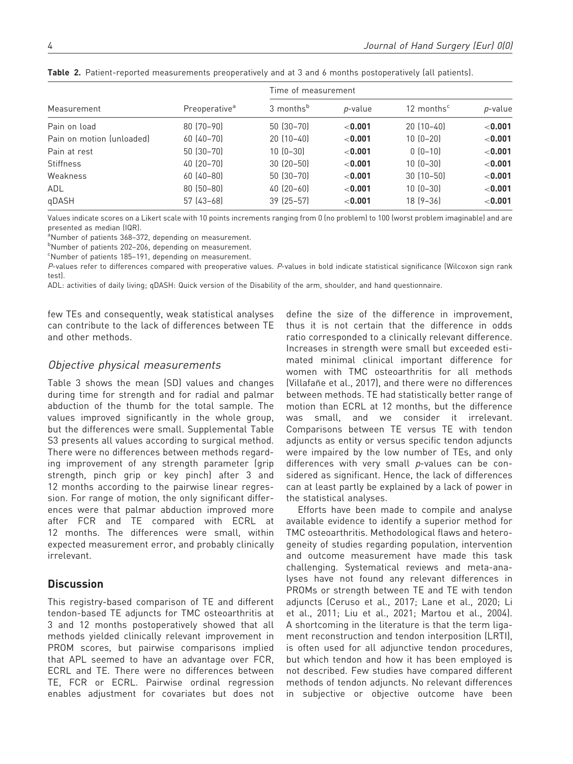| Measurement               |                           | Time of measurement   |                 |                        |            |  |
|---------------------------|---------------------------|-----------------------|-----------------|------------------------|------------|--|
|                           | Preoperative <sup>a</sup> | 3 months <sup>b</sup> | <i>p</i> -value | 12 months <sup>c</sup> | p-value    |  |
| Pain on load              | $80(70-90)$               | $50(30-70)$           | < 0.001         | $20(10-40)$            | < 0.001    |  |
| Pain on motion (unloaded) | $60(40-70)$               | $20(10-40)$           | < 0.001         | $10(0-20)$             | ${<}0.001$ |  |
| Pain at rest              | 50 (30-70)                | $10(0-30)$            | < 0.001         | $0(0-10)$              | < 0.001    |  |
| <b>Stiffness</b>          | 40 (20-70)                | $30(20-50)$           | < 0.001         | $10(0-30)$             | ${<}0.001$ |  |
| Weakness                  | $60(40 - 80)$             | 50 (30-70)            | $<$ 0.001       | $30(10 - 50)$          | < 0.001    |  |
| ADL                       | $80(50-80)$               | $40(20-60)$           | < 0.001         | $10(0-30)$             | < 0.001    |  |
| qDASH                     | 57 (43-68)                | $39$ $(25 - 57)$      | $<$ 0.001       | $18[9-36]$             | < 0.001    |  |

Table 2. Patient-reported measurements preoperatively and at 3 and 6 months postoperatively (all patients).

Values indicate scores on a Likert scale with 10 points increments ranging from 0 (no problem) to 100 (worst problem imaginable) and are presented as median (IQR).

<sup>a</sup>Number of patients 368–372, depending on measurement.

b Number of patients 202–206, depending on measurement.

<sup>c</sup>Number of patients 185-191, depending on measurement.

P-values refer to differences compared with preoperative values. P-values in bold indicate statistical significance (Wilcoxon sign rank test).

ADL: activities of daily living; qDASH: Quick version of the Disability of the arm, shoulder, and hand questionnaire.

few TEs and consequently, weak statistical analyses can contribute to the lack of differences between TE and other methods.

### Objective physical measurements

Table 3 shows the mean (SD) values and changes during time for strength and for radial and palmar abduction of the thumb for the total sample. The values improved significantly in the whole group, but the differences were small. Supplemental Table S3 presents all values according to surgical method. There were no differences between methods regarding improvement of any strength parameter (grip strength, pinch grip or key pinch) after 3 and 12 months according to the pairwise linear regression. For range of motion, the only significant differences were that palmar abduction improved more after FCR and TE compared with ECRL at 12 months. The differences were small, within expected measurement error, and probably clinically irrelevant.

# **Discussion**

This registry-based comparison of TE and different tendon-based TE adjuncts for TMC osteoarthritis at 3 and 12 months postoperatively showed that all methods yielded clinically relevant improvement in PROM scores, but pairwise comparisons implied that APL seemed to have an advantage over FCR, ECRL and TE. There were no differences between TE, FCR or ECRL. Pairwise ordinal regression enables adjustment for covariates but does not

define the size of the difference in improvement, thus it is not certain that the difference in odds ratio corresponded to a clinically relevant difference. Increases in strength were small but exceeded estimated minimal clinical important difference for women with TMC osteoarthritis for all methods (Villafañe et al., 2017), and there were no differences between methods. TE had statistically better range of motion than ECRL at 12 months, but the difference was small, and we consider it irrelevant. Comparisons between TE versus TE with tendon adjuncts as entity or versus specific tendon adjuncts were impaired by the low number of TEs, and only differences with very small p-values can be considered as significant. Hence, the lack of differences can at least partly be explained by a lack of power in the statistical analyses.

Efforts have been made to compile and analyse available evidence to identify a superior method for TMC osteoarthritis. Methodological flaws and heterogeneity of studies regarding population, intervention and outcome measurement have made this task challenging. Systematical reviews and meta-analyses have not found any relevant differences in PROMs or strength between TE and TE with tendon adjuncts (Ceruso et al., 2017; Lane et al., 2020; Li et al., 2011; Liu et al., 2021; Martou et al., 2004). A shortcoming in the literature is that the term ligament reconstruction and tendon interposition (LRTI), is often used for all adjunctive tendon procedures, but which tendon and how it has been employed is not described. Few studies have compared different methods of tendon adjuncts. No relevant differences in subjective or objective outcome have been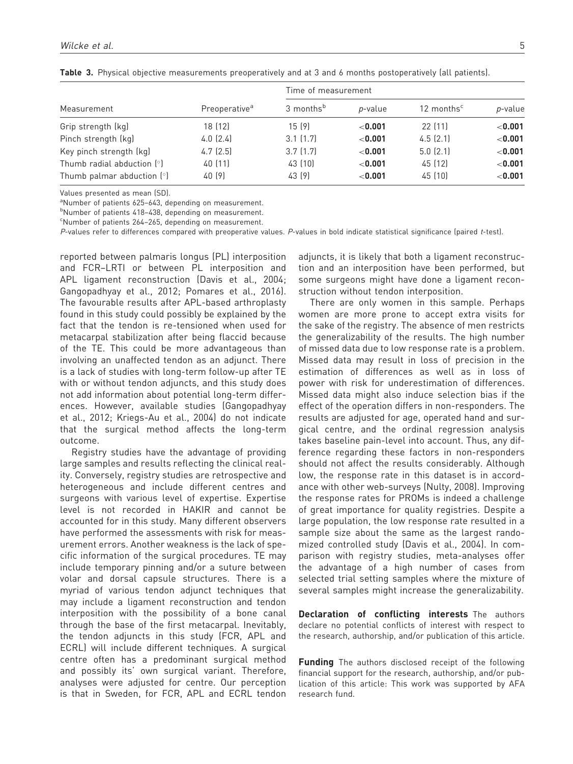| Measurement                  | Preoperative <sup>a</sup> | Time of measurement   |                 |                        |           |  |
|------------------------------|---------------------------|-----------------------|-----------------|------------------------|-----------|--|
|                              |                           | 3 months <sup>b</sup> | <i>p</i> -value | 12 months <sup>c</sup> | p-value   |  |
| Grip strength (kg)           | 18 (12)                   | 15 (9)                | ${<}0.001$      | 22 (11)                | < 0.001   |  |
| Pinch strength (kg)          | $4.0$ $(2.4)$             | 3.1(1.7)              | < 0.001         | 4.5(2.1)               | < 0.001   |  |
| Key pinch strength (kg)      | 4.7(2.5)                  | 3.7(1.7)              | ${<}0.001$      | $5.0$ $(2.1)$          | < 0.001   |  |
| Thumb radial abduction $[°]$ | 40 (11)                   | 43 (10)               | < 0.001         | 45 (12)                | < 0.001   |  |
| Thumb palmar abduction $[°]$ | 40 [9]                    | 43 [9]                | $<$ 0.001       | 45 (10)                | $<$ 0.001 |  |

Table 3. Physical objective measurements preoperatively and at 3 and 6 months postoperatively (all patients).

Values presented as mean (SD).

<sup>a</sup>Number of patients 625-643, depending on measurement.

b Number of patients 418–438, depending on measurement.

<sup>c</sup>Number of patients 264-265, depending on measurement.

P-values refer to differences compared with preoperative values. P-values in bold indicate statistical significance (paired t-test).

reported between palmaris longus (PL) interposition and FCR–LRTI or between PL interposition and APL ligament reconstruction (Davis et al., 2004; Gangopadhyay et al., 2012; Pomares et al., 2016). The favourable results after APL-based arthroplasty found in this study could possibly be explained by the fact that the tendon is re-tensioned when used for metacarpal stabilization after being flaccid because of the TE. This could be more advantageous than involving an unaffected tendon as an adjunct. There is a lack of studies with long-term follow-up after TE with or without tendon adjuncts, and this study does not add information about potential long-term differences. However, available studies (Gangopadhyay et al., 2012; Kriegs-Au et al., 2004) do not indicate that the surgical method affects the long-term outcome.

Registry studies have the advantage of providing large samples and results reflecting the clinical reality. Conversely, registry studies are retrospective and heterogeneous and include different centres and surgeons with various level of expertise. Expertise level is not recorded in HAKIR and cannot be accounted for in this study. Many different observers have performed the assessments with risk for measurement errors. Another weakness is the lack of specific information of the surgical procedures. TE may include temporary pinning and/or a suture between volar and dorsal capsule structures. There is a myriad of various tendon adjunct techniques that may include a ligament reconstruction and tendon interposition with the possibility of a bone canal through the base of the first metacarpal. Inevitably, the tendon adjuncts in this study (FCR, APL and ECRL) will include different techniques. A surgical centre often has a predominant surgical method and possibly its' own surgical variant. Therefore, analyses were adjusted for centre. Our perception is that in Sweden, for FCR, APL and ECRL tendon adjuncts, it is likely that both a ligament reconstruction and an interposition have been performed, but some surgeons might have done a ligament reconstruction without tendon interposition.

There are only women in this sample. Perhaps women are more prone to accept extra visits for the sake of the registry. The absence of men restricts the generalizability of the results. The high number of missed data due to low response rate is a problem. Missed data may result in loss of precision in the estimation of differences as well as in loss of power with risk for underestimation of differences. Missed data might also induce selection bias if the effect of the operation differs in non-responders. The results are adjusted for age, operated hand and surgical centre, and the ordinal regression analysis takes baseline pain-level into account. Thus, any difference regarding these factors in non-responders should not affect the results considerably. Although low, the response rate in this dataset is in accordance with other web-surveys (Nulty, 2008). Improving the response rates for PROMs is indeed a challenge of great importance for quality registries. Despite a large population, the low response rate resulted in a sample size about the same as the largest randomized controlled study (Davis et al., 2004). In comparison with registry studies, meta-analyses offer the advantage of a high number of cases from selected trial setting samples where the mixture of several samples might increase the generalizability.

Declaration of conflicting interests The authors declare no potential conflicts of interest with respect to the research, authorship, and/or publication of this article.

**Funding** The authors disclosed receipt of the following financial support for the research, authorship, and/or publication of this article: This work was supported by AFA research fund.